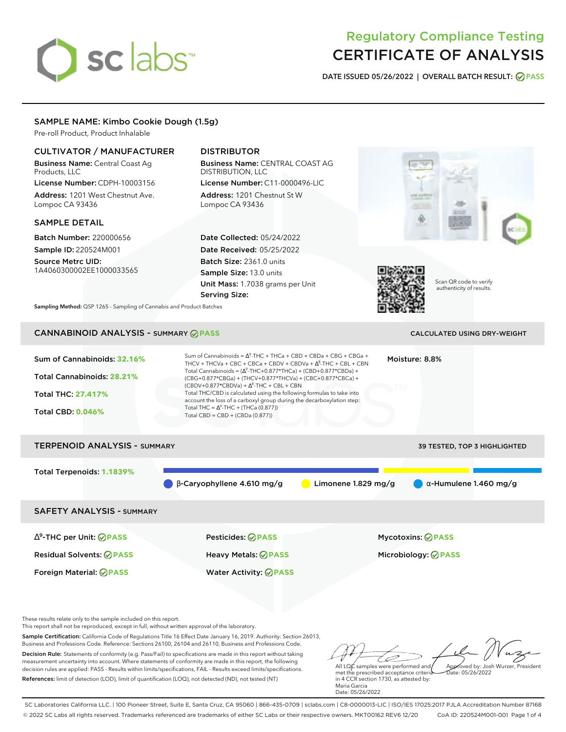# sclabs<sup>\*</sup>

# Regulatory Compliance Testing CERTIFICATE OF ANALYSIS

**DATE ISSUED 05/26/2022 | OVERALL BATCH RESULT: PASS**

# SAMPLE NAME: Kimbo Cookie Dough (1.5g)

Pre-roll Product, Product Inhalable

# CULTIVATOR / MANUFACTURER

Business Name: Central Coast Ag Products, LLC License Number: CDPH-10003156

Address: 1201 West Chestnut Ave. Lompoc CA 93436

### SAMPLE DETAIL

Batch Number: 220000656 Sample ID: 220524M001

Source Metrc UID: 1A4060300002EE1000033565

# DISTRIBUTOR

Business Name: CENTRAL COAST AG DISTRIBUTION, LLC License Number: C11-0000496-LIC

Address: 1201 Chestnut St W Lompoc CA 93436

Date Collected: 05/24/2022 Date Received: 05/25/2022 Batch Size: 2361.0 units Sample Size: 13.0 units Unit Mass: 1.7038 grams per Unit Serving Size:





Scan QR code to verify authenticity of results.

**Sampling Method:** QSP 1265 - Sampling of Cannabis and Product Batches

# CANNABINOID ANALYSIS - SUMMARY **PASS** CALCULATED USING DRY-WEIGHT

| Sum of Cannabinoids: 32.16%<br>Total Cannabinoids: 28.21%<br><b>Total THC: 27.417%</b><br><b>Total CBD: 0.046%</b> | Sum of Cannabinoids = $\Delta^9$ -THC + THCa + CBD + CBDa + CBG + CBGa +<br>THCV + THCVa + CBC + CBCa + CBDV + CBDVa + $\Delta^8$ -THC + CBL + CBN<br>Total Cannabinoids = $(\Delta^9$ -THC+0.877*THCa) + (CBD+0.877*CBDa) +<br>(CBG+0.877*CBGa) + (THCV+0.877*THCVa) + (CBC+0.877*CBCa) +<br>$(CBDV+0.877*CBDVa) + \Delta^8$ -THC + CBL + CBN<br>Total THC/CBD is calculated using the following formulas to take into<br>account the loss of a carboxyl group during the decarboxylation step:<br>Total THC = $\Delta^9$ -THC + (THCa (0.877))<br>Total CBD = CBD + (CBDa (0.877)) |                       | Moisture: 8.8%                |  |  |  |
|--------------------------------------------------------------------------------------------------------------------|--------------------------------------------------------------------------------------------------------------------------------------------------------------------------------------------------------------------------------------------------------------------------------------------------------------------------------------------------------------------------------------------------------------------------------------------------------------------------------------------------------------------------------------------------------------------------------------|-----------------------|-------------------------------|--|--|--|
| <b>TERPENOID ANALYSIS - SUMMARY</b><br>39 TESTED, TOP 3 HIGHLIGHTED                                                |                                                                                                                                                                                                                                                                                                                                                                                                                                                                                                                                                                                      |                       |                               |  |  |  |
| Total Terpenoids: 1.1839%                                                                                          | $\beta$ -Caryophyllene 4.610 mg/g                                                                                                                                                                                                                                                                                                                                                                                                                                                                                                                                                    | Limonene $1.829$ mg/g | $\alpha$ -Humulene 1.460 mg/g |  |  |  |
| <b>SAFETY ANALYSIS - SUMMARY</b>                                                                                   |                                                                                                                                                                                                                                                                                                                                                                                                                                                                                                                                                                                      |                       |                               |  |  |  |
| $\Delta^9$ -THC per Unit: $\oslash$ PASS                                                                           | Pesticides: ⊘PASS                                                                                                                                                                                                                                                                                                                                                                                                                                                                                                                                                                    |                       | <b>Mycotoxins: ⊘PASS</b>      |  |  |  |
| <b>Residual Solvents: ⊘PASS</b>                                                                                    | Heavy Metals: @PASS                                                                                                                                                                                                                                                                                                                                                                                                                                                                                                                                                                  |                       | Microbiology: @PASS           |  |  |  |

These results relate only to the sample included on this report.

This report shall not be reproduced, except in full, without written approval of the laboratory.

Sample Certification: California Code of Regulations Title 16 Effect Date January 16, 2019. Authority: Section 26013, Business and Professions Code. Reference: Sections 26100, 26104 and 26110, Business and Professions Code.

Decision Rule: Statements of conformity (e.g. Pass/Fail) to specifications are made in this report without taking measurement uncertainty into account. Where statements of conformity are made in this report, the following decision rules are applied: PASS - Results within limits/specifications, FAIL - Results exceed limits/specifications. References: limit of detection (LOD), limit of quantification (LOQ), not detected (ND), not tested (NT)

Foreign Material: **PASS** Water Activity: **PASS**

D All LQC samples were performed and Approved by: Josh Wurzer, President Date: 05/26/2022

met the prescribed acceptance criteria in 4 CCR section 1730, as attested by: Maria Garcia Date: 05/26/2022

SC Laboratories California LLC. | 100 Pioneer Street, Suite E, Santa Cruz, CA 95060 | 866-435-0709 | sclabs.com | C8-0000013-LIC | ISO/IES 17025:2017 PJLA Accreditation Number 87168 © 2022 SC Labs all rights reserved. Trademarks referenced are trademarks of either SC Labs or their respective owners. MKT00162 REV6 12/20 CoA ID: 220524M001-001 Page 1 of 4